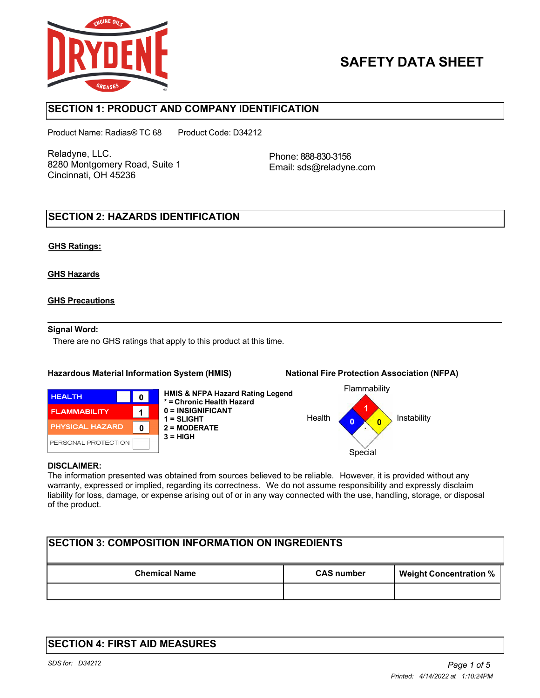

# **SAFETY DATA SHEET**

## **SECTION 1: PRODUCT AND COMPANY IDENTIFICATION**

Product Name: Radias® TC 68 Product Code: D34212

Reladyne, LLC. 8280 Montgomery Road, Suite 1 Cincinnati, OH 45236

Phone: 888-830-3156 Email: sds@reladyne.com

## **SECTION 2: HAZARDS IDENTIFICATION**

#### **GHS Ratings:**

#### **GHS Hazards**

#### **GHS Precautions**

#### **Signal Word:**

There are no GHS ratings that apply to this product at this time.

### **Hazardous Material Information System (HMIS) National Fire Protection Association (NFPA)**



**HMIS & NFPA Hazard Rating Legend \* = Chronic Health Hazard 0 = INSIGNIFICANT 1 = SLIGHT 2 = MODERATE 3 = HIGH**



#### **DISCLAIMER:**

The information presented was obtained from sources believed to be reliable. However, it is provided without any warranty, expressed or implied, regarding its correctness. We do not assume responsibility and expressly disclaim liability for loss, damage, or expense arising out of or in any way connected with the use, handling, storage, or disposal of the product.

| <b>SECTION 3: COMPOSITION INFORMATION ON INGREDIENTS</b> |                   |                               |  |  |
|----------------------------------------------------------|-------------------|-------------------------------|--|--|
| <b>Chemical Name</b>                                     | <b>CAS number</b> | <b>Weight Concentration %</b> |  |  |
|                                                          |                   |                               |  |  |

## **SECTION 4: FIRST AID MEASURES**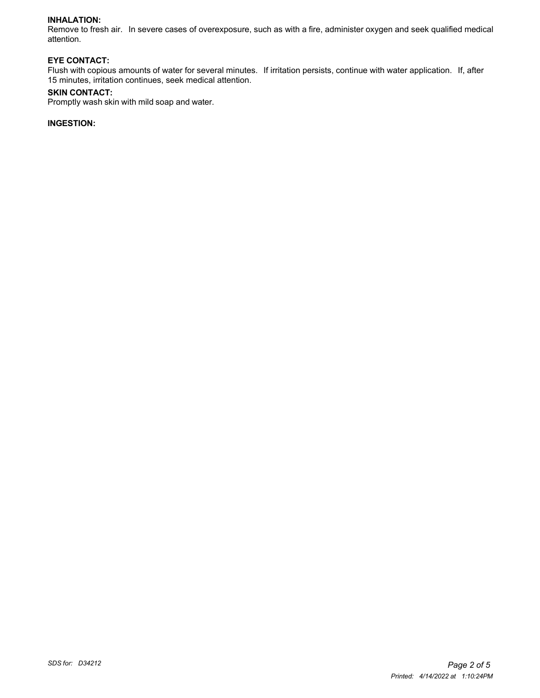#### **INHALATION:**

Remove to fresh air. In severe cases of overexposure, such as with a fire, administer oxygen and seek qualified medical attention.

#### **EYE CONTACT:**

Flush with copious amounts of water for several minutes. If irritation persists, continue with water application. If, after 15 minutes, irritation continues, seek medical attention.

#### **SKIN CONTACT:**

Promptly wash skin with mild soap and water.

### **INGESTION:**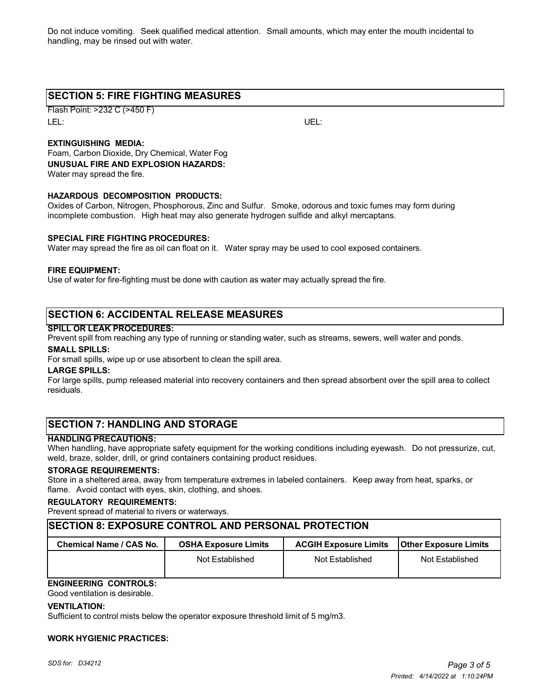Do not induce vomiting. Seek qualified medical attention. Small amounts, which may enter the mouth incidental to handling, may be rinsed out with water.

## **SECTION 5: FIRE FIGHTING MEASURES**

Flash Point: >232 C (>450 F) LEL: UEL:

### **EXTINGUISHING MEDIA:**

Foam, Carbon Dioxide, Dry Chemical, Water Fog **UNUSUAL FIRE AND EXPLOSION HAZARDS:** Water may spread the fire.

#### **HAZARDOUS DECOMPOSITION PRODUCTS:**

Oxides of Carbon, Nitrogen, Phosphorous, Zinc and Sulfur. Smoke, odorous and toxic fumes may form during incomplete combustion. High heat may also generate hydrogen sulfide and alkyl mercaptans.

#### **SPECIAL FIRE FIGHTING PROCEDURES:**

Water may spread the fire as oil can float on it. Water spray may be used to cool exposed containers.

#### **FIRE EQUIPMENT:**

Use of water for fire-fighting must be done with caution as water may actually spread the fire.

## **SECTION 6: ACCIDENTAL RELEASE MEASURES**

#### **SPILL OR LEAK PROCEDURES:**

Prevent spill from reaching any type of running or standing water, such as streams, sewers, well water and ponds.

#### **SMALL SPILLS:**

For small spills, wipe up or use absorbent to clean the spill area.

#### **LARGE SPILLS:**

For large spills, pump released material into recovery containers and then spread absorbent over the spill area to collect residuals.

## **SECTION 7: HANDLING AND STORAGE**

#### **HANDLING PRECAUTIONS:**

When handling, have appropriate safety equipment for the working conditions including eyewash. Do not pressurize, cut, weld, braze, solder, drill, or grind containers containing product residues.

#### **STORAGE REQUIREMENTS:**

Store in a sheltered area, away from temperature extremes in labeled containers. Keep away from heat, sparks, or flame. Avoid contact with eyes, skin, clothing, and shoes.

#### **REGULATORY REQUIREMENTS:**

Prevent spread of material to rivers or waterways.

### **SECTION 8: EXPOSURE CONTROL AND PERSONAL PROTECTION**

| Chemical Name / CAS No. | <b>OSHA Exposure Limits</b> | <b>ACGIH Exposure Limits</b> | <b>Other Exposure Limits</b> |
|-------------------------|-----------------------------|------------------------------|------------------------------|
|                         | Not Established             | Not Established              | Not Established              |

## **ENGINEERING CONTROLS:**

Good ventilation is desirable.

#### **VENTILATION:**

Sufficient to control mists below the operator exposure threshold limit of 5 mg/m3.

#### **WORK HYGIENIC PRACTICES:**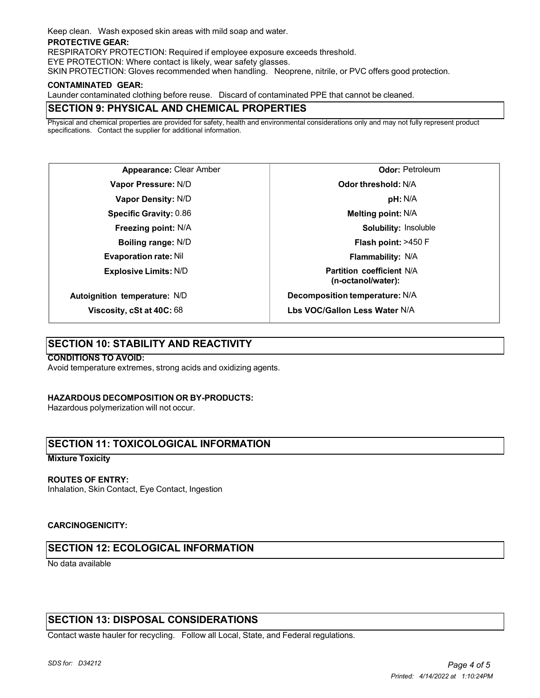Keep clean. Wash exposed skin areas with mild soap and water.

#### **PROTECTIVE GEAR:**

RESPIRATORY PROTECTION: Required if employee exposure exceeds threshold.

EYE PROTECTION: Where contact is likely, wear safety glasses.

SKIN PROTECTION: Gloves recommended when handling. Neoprene, nitrile, or PVC offers good protection.

#### **CONTAMINATED GEAR:**

Launder contaminated clothing before reuse. Discard of contaminated PPE that cannot be cleaned.

## **SECTION 9: PHYSICAL AND CHEMICAL PROPERTIES**

Physical and chemical properties are provided for safety, health and environmental considerations only and may not fully represent product specifications. Contact the supplier for additional information.

**Appearance:** Clear Amber **Vapor Pressure:** N/D **Vapor Density:** N/D **Specific Gravity:** 0.86 **Freezing point:** N/A **Boiling range:** N/D **Evaporation rate:** Nil **Explosive Limits:** N/D **Autoignition temperature:** N/D

**Odor:** Petroleum **Odor threshold:** N/A **pH:** N/A **Melting point:** N/A **Solubility:** Insoluble **Flash point:** >450 F **Flammability:** N/A **Partition coefficient** N/A **(n-octanol/water): Decomposition temperature:** N/A **Lbs VOC/Gallon Less Water** N/A

**Viscosity, cSt at 40C:** 68

## **SECTION 10: STABILITY AND REACTIVITY**

#### **CONDITIONS TO AVOID:**

Avoid temperature extremes, strong acids and oxidizing agents.

#### **HAZARDOUS DECOMPOSITION OR BY-PRODUCTS:**

Hazardous polymerization will not occur.

## **SECTION 11: TOXICOLOGICAL INFORMATION**

#### **Mixture Toxicity**

#### **ROUTES OF ENTRY:**

Inhalation, Skin Contact, Eye Contact, Ingestion

#### **CARCINOGENICITY:**

## **SECTION 12: ECOLOGICAL INFORMATION**

No data available

## **SECTION 13: DISPOSAL CONSIDERATIONS**

Contact waste hauler for recycling. Follow all Local, State, and Federal regulations.